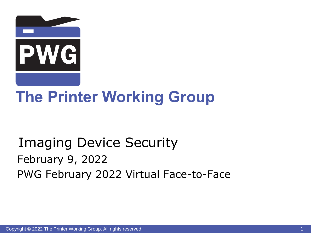

# **The Printer Working Group**

## Imaging Device Security February 9, 2022 PWG February 2022 Virtual Face-to-Face

Copyright © 2022 The Printer Working Group. All rights reserved. 1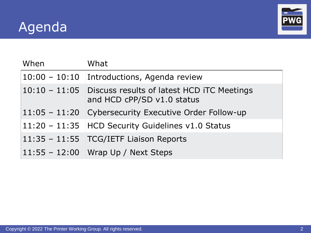## Agenda



| When | What                                                                                     |
|------|------------------------------------------------------------------------------------------|
|      | 10:00 - 10:10 Introductions, Agenda review                                               |
|      | $10:10 - 11:05$ Discuss results of latest HCD iTC Meetings<br>and HCD cPP/SD v1.0 status |
|      | $11:05 - 11:20$ Cybersecurity Executive Order Follow-up                                  |
|      | $11:20 - 11:35$ HCD Security Guidelines v1.0 Status                                      |
|      | $11:35 - 11:55$ TCG/IETF Liaison Reports                                                 |
|      | $11:55 - 12:00$ Wrap Up / Next Steps                                                     |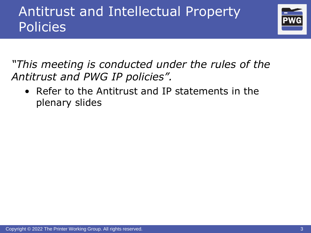## Antitrust and Intellectual Property **Policies**



*"This meeting is conducted under the rules of the Antitrust and PWG IP policies".* 

• Refer to the Antitrust and IP statements in the plenary slides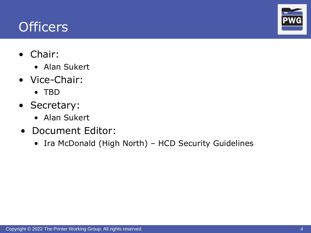## **Officers**

- Chair:
	- Alan Sukert
- Vice-Chair:
	- TBD
- Secretary:
	- Alan Sukert
- Document Editor:
	- Ira McDonald (High North) HCD Security Guidelines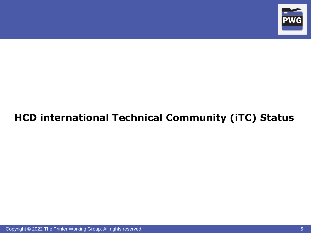

#### **HCD international Technical Community (iTC) Status**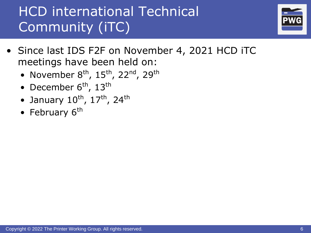## HCD international Technical Community (iTC)



- Since last IDS F2F on November 4, 2021 HCD iTC meetings have been held on:
	- November  $8<sup>th</sup>$ , 15<sup>th</sup>, 22<sup>nd</sup>, 29<sup>th</sup>
	- December  $6<sup>th</sup>$ , 13<sup>th</sup>
	- January  $10^{th}$ ,  $17^{th}$ ,  $24^{th}$
	- February 6<sup>th</sup>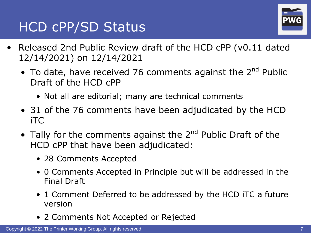## HCD cPP/SD Status



- Released 2nd Public Review draft of the HCD cPP (v0.11 dated 12/14/2021) on 12/14/2021
	- To date, have received 76 comments against the  $2^{nd}$  Public Draft of the HCD cPP
		- Not all are editorial; many are technical comments
	- 31 of the 76 comments have been adjudicated by the HCD iTC
	- Tally for the comments against the  $2^{nd}$  Public Draft of the HCD cPP that have been adjudicated:
		- 28 Comments Accepted
		- 0 Comments Accepted in Principle but will be addressed in the Final Draft
		- 1 Comment Deferred to be addressed by the HCD iTC a future version
		- 2 Comments Not Accepted or Rejected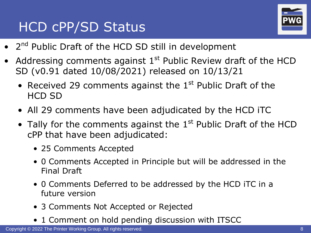## HCD cPP/SD Status



- 2<sup>nd</sup> Public Draft of the HCD SD still in development
- Addressing comments against  $1<sup>st</sup>$  Public Review draft of the HCD SD (v0.91 dated 10/08/2021) released on 10/13/21
	- Received 29 comments against the  $1<sup>st</sup>$  Public Draft of the HCD SD
	- All 29 comments have been adjudicated by the HCD iTC
	- Tally for the comments against the  $1<sup>st</sup>$  Public Draft of the HCD cPP that have been adjudicated:
		- 25 Comments Accepted
		- 0 Comments Accepted in Principle but will be addressed in the Final Draft
		- 0 Comments Deferred to be addressed by the HCD iTC in a future version
		- 3 Comments Not Accepted or Rejected
		- 1 Comment on hold pending discussion with ITSCC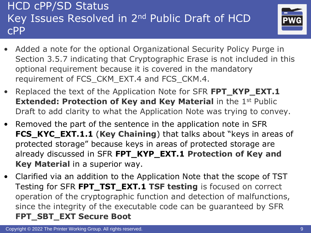#### HCD cPP/SD Status Key Issues Resolved in 2nd Public Draft of HCD cPP



- Added a note for the optional Organizational Security Policy Purge in Section 3.5.7 indicating that Cryptographic Erase is not included in this optional requirement because it is covered in the mandatory requirement of FCS\_CKM\_EXT.4 and FCS\_CKM.4.
- Replaced the text of the Application Note for SFR **FPT\_KYP\_EXT.1 Extended: Protection of Key and Key Material** in the 1<sup>st</sup> Public Draft to add clarity to what the Application Note was trying to convey.
- Removed the part of the sentence in the application note in SFR **FCS\_KYC\_EXT.1.1** (**Key Chaining**) that talks about "keys in areas of protected storage" because keys in areas of protected storage are already discussed in SFR **FPT\_KYP\_EXT.1 Protection of Key and Key Material** in a superior way.
- Clarified via an addition to the Application Note that the scope of TST Testing for SFR **FPT\_TST\_EXT.1 TSF testing** is focused on correct operation of the cryptographic function and detection of malfunctions, since the integrity of the executable code can be guaranteed by SFR **FPT\_SBT\_EXT Secure Boot**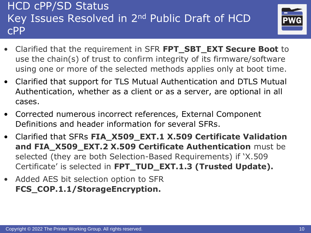#### HCD cPP/SD Status Key Issues Resolved in 2nd Public Draft of HCD cPP



- Clarified that the requirement in SFR **FPT\_SBT\_EXT Secure Boot** to use the chain(s) of trust to confirm integrity of its firmware/software using one or more of the selected methods applies only at boot time.
- Clarified that support for TLS Mutual Authentication and DTLS Mutual Authentication, whether as a client or as a server, are optional in all cases.
- Corrected numerous incorrect references, External Component Definitions and header information for several SFRs.
- Clarified that SFRs **FIA\_X509\_EXT.1 X.509 Certificate Validation and FIA\_X509\_EXT.2 X.509 Certificate Authentication** must be selected (they are both Selection-Based Requirements) if 'X.509 Certificate' is selected in **FPT\_TUD\_EXT.1.3 (Trusted Update).**
- Added AES bit selection option to SFR **FCS\_COP.1.1/StorageEncryption.**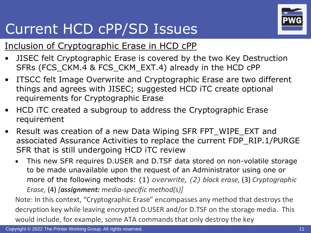

# Current HCD cPP/SD Issues

#### Inclusion of Cryptographic Erase in HCD cPP

- JISEC felt Cryptographic Erase is covered by the two Key Destruction SFRs (FCS\_CKM.4 & FCS\_CKM\_EXT.4) already in the HCD cPP
- ITSCC felt Image Overwrite and Cryptographic Erase are two different things and agrees with JISEC; suggested HCD iTC create optional requirements for Cryptographic Erase
- HCD iTC created a subgroup to address the Cryptographic Erase requirement
- Result was creation of a new Data Wiping SFR FPT\_WIPE\_EXT and associated Assurance Activities to replace the current FDP\_RIP.1/PURGE SFR that is still undergoing HCD iTC review
	- This new SFR requires D.USER and D.TSF data stored on non-volatile storage to be made unavailable upon the request of an Administrator using one or more of the following methods: (1) *overwrite, (2) block erase,* (3) *Cryptographic Erase,* (4) *[assignment: media-specific method(s)]*

Note: In this context, "Cryptographic Erase" encompasses any method that destroys the decryption key while leaving encrypted D.USER and/or D.TSF on the storage media. This would include, for example, some ATA commands that only destroy the key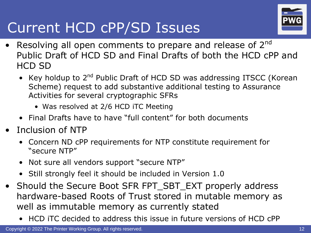

# Current HCD cPP/SD Issues

- Resolving all open comments to prepare and release of  $2^{nd}$ Public Draft of HCD SD and Final Drafts of both the HCD cPP and HCD SD
	- Key holdup to 2<sup>nd</sup> Public Draft of HCD SD was addressing ITSCC (Korean Scheme) request to add substantive additional testing to Assurance Activities for several cryptographic SFRs
		- Was resolved at 2/6 HCD iTC Meeting
	- Final Drafts have to have "full content" for both documents
- Inclusion of NTP
	- Concern ND cPP requirements for NTP constitute requirement for "secure NTP"
	- Not sure all vendors support "secure NTP"
	- Still strongly feel it should be included in Version 1.0
- Should the Secure Boot SFR FPT\_SBT\_EXT properly address hardware-based Roots of Trust stored in mutable memory as well as immutable memory as currently stated
	- HCD iTC decided to address this issue in future versions of HCD cPP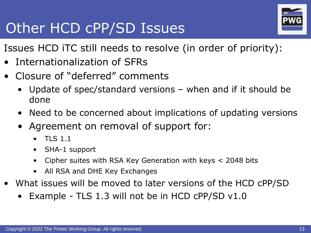# Other HCD cPP/SD Issues



Issues HCD iTC still needs to resolve (in order of priority):

- Internationalization of SFRs
- Closure of "deferred" comments
	- Update of spec/standard versions when and if it should be done
	- Need to be concerned about implications of updating versions
	- Agreement on removal of support for:
		- TLS 1.1
		- SHA-1 support
		- Cipher suites with RSA Key Generation with keys  $<$  2048 bits
		- All RSA and DHE Key Exchanges
- What issues will be moved to later versions of the HCD cPP/SD
	- Example TLS 1.3 will not be in HCD  $CPP/SD$  v1.0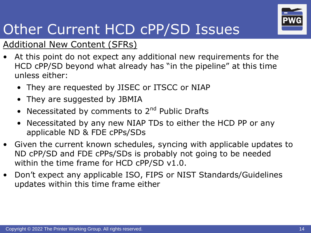

# Other Current HCD cPP/SD Issues

#### Additional New Content (SFRs)

- At this point do not expect any additional new requirements for the HCD cPP/SD beyond what already has "in the pipeline" at this time unless either:
	- They are requested by JISEC or ITSCC or NIAP
	- They are suggested by JBMIA
	- Necessitated by comments to  $2<sup>nd</sup>$  Public Drafts
	- Necessitated by any new NIAP TDs to either the HCD PP or any applicable ND & FDE cPPs/SDs
- Given the current known schedules, syncing with applicable updates to ND cPP/SD and FDE cPPs/SDs is probably not going to be needed within the time frame for HCD cPP/SD v1.0.
- Don't expect any applicable ISO, FIPS or NIST Standards/Guidelines updates within this time frame either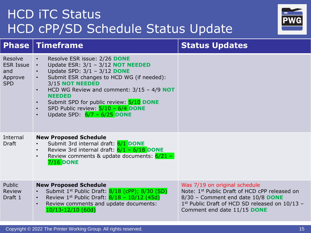|                             | SPD Public review: $\frac{5}{10} - \frac{6}{4}$ DONE<br>Update SPD: $6/7 - 6/25$ DONE<br>$\bullet$                                                                                                                              |                                                                                                                                                                                                      |
|-----------------------------|---------------------------------------------------------------------------------------------------------------------------------------------------------------------------------------------------------------------------------|------------------------------------------------------------------------------------------------------------------------------------------------------------------------------------------------------|
| Internal<br>Draft           | <b>New Proposed Schedule</b><br>Submit 3rd internal draft: 6/1 DONE<br>Review 3rd internal draft: $6/1 - 6/18$ DONE<br>$\bullet$<br>Review comments & update documents: $6/21 -$<br>$\bullet$<br><b>7/16 DONE</b>               |                                                                                                                                                                                                      |
| Public<br>Review<br>Draft 1 | <b>New Proposed Schedule</b><br>Submit 1 <sup>st</sup> Public Draft: 8/18 (cPP); 8/30 (SD)<br>Review $1^{st}$ Public Draft: $8/18 - 10/12$ (45d)<br>$\bullet$<br>Review comments and update documents:<br>$10/13 - 12/10$ (60d) | Was 7/19 on original schedule<br>Note: 1st Public Draft of HCD cPP released on<br>8/30 - Comment end date 10/8 DONE<br>1st Public Draft of HCD SD released on 10/13 -<br>Comment end date 11/15 DONE |
|                             | Copyright © 2022 The Printer Working Group. All rights reserved.                                                                                                                                                                | 15                                                                                                                                                                                                   |
|                             |                                                                                                                                                                                                                                 |                                                                                                                                                                                                      |

#### **HCD ITC Status** HCD cPP/SD Schedule Status Update

• Resolve ESR issue: 2/26 **DONE**

• Update SPD: 3/1 – 3/12 **DONE**

3/15 **NOT NEEDED**

**NEEDED**

• Update ESR: 3/1 – 3/12 **NOT NEEDED**

• Submit ESR changes to HCD WG (if needed):

• Submit SPD for public review: 5/10 **DONE**

• HCD WG Review and comment: 3/15 – 4/9 **NOT** 

Resolve ESR Issue

Approve SPD

and

**Phase** Timeframe **Status Updates** 

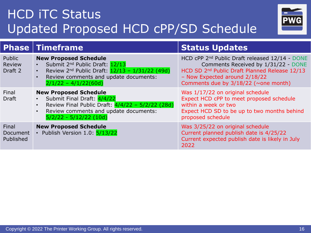## HCD iTC Status Updated Proposed HCD cPP/SD Schedule



|                                    | <b>Phase   Timeframe</b>                                                                                                                                                                                                         | <b>Status Updates</b>                                                                                                                                                                                                                     |
|------------------------------------|----------------------------------------------------------------------------------------------------------------------------------------------------------------------------------------------------------------------------------|-------------------------------------------------------------------------------------------------------------------------------------------------------------------------------------------------------------------------------------------|
| Public<br><b>Review</b><br>Draft 2 | <b>New Proposed Schedule</b><br>Submit 2 <sup>nd</sup> Public Draft: 12/13<br>Review $2^{nd}$ Public Draft: $12/13 - 1/31/22$ (49d)<br>$\bullet$<br>Review comments and update documents:<br>$\bullet$<br>$2/1/22 - 4/1/22(60d)$ | HCD cPP 2 <sup>nd</sup> Public Draft released 12/14 - DONE<br>Comments Received by 1/31/22 - DONE<br>HCD SD 2 <sup>nd</sup> Public Draft Planned Release 12/13<br>- Now Expected around 2/18/22<br>Comments due by $3/18/22$ (~one month) |
| Final<br><b>Draft</b>              | <b>New Proposed Schedule</b><br>Submit Final Draft: 4/4/22<br>Review Final Public Draft: 4/4/22 - 5/2/22 (28d)<br>$\bullet$<br>Review comments and update documents:<br>$\bullet$<br>$5/2/22 - 5/12/22$ (10d)                    | Was 1/17/22 on original schedule<br>Expect HCD cPP to meet proposed schedule<br>within a week or two<br>Expect HCD SD to be up to two months behind<br>proposed schedule                                                                  |
| Final<br>Document<br>Published     | <b>New Proposed Schedule</b><br>• Publish Version 1.0: 5/13/22                                                                                                                                                                   | Was 3/25/22 on original schedule<br>Current planned publish date is 4/25/22<br>Current expected publish date is likely in July<br>2022                                                                                                    |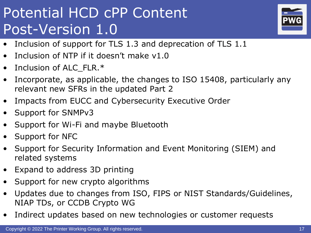# Potential HCD cPP Content Post-Version 1.0



- Inclusion of support for TLS 1.3 and deprecation of TLS 1.1
- Inclusion of NTP if it doesn't make v1.0
- Inclusion of ALC\_FLR.\*
- Incorporate, as applicable, the changes to ISO 15408, particularly any relevant new SFRs in the updated Part 2
- Impacts from EUCC and Cybersecurity Executive Order
- Support for SNMPv3
- Support for Wi-Fi and maybe Bluetooth
- Support for NFC
- Support for Security Information and Event Monitoring (SIEM) and related systems
- Expand to address 3D printing
- Support for new crypto algorithms
- Updates due to changes from ISO, FIPS or NIST Standards/Guidelines, NIAP TDs, or CCDB Crypto WG
- Indirect updates based on new technologies or customer requests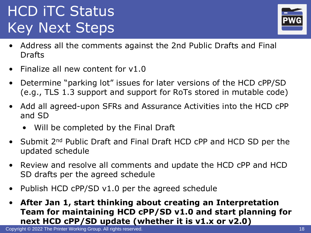# HCD iTC Status Key Next Steps



- Address all the comments against the 2nd Public Drafts and Final Drafts
- Finalize all new content for v1.0
- Determine "parking lot" issues for later versions of the HCD cPP/SD (e.g., TLS 1.3 support and support for RoTs stored in mutable code)
- Add all agreed-upon SFRs and Assurance Activities into the HCD cPP and SD
	- Will be completed by the Final Draft
- Submit 2<sup>nd</sup> Public Draft and Final Draft HCD cPP and HCD SD per the updated schedule
- Review and resolve all comments and update the HCD cPP and HCD SD drafts per the agreed schedule
- Publish HCD cPP/SD v1.0 per the agreed schedule
- **After Jan 1, start thinking about creating an Interpretation Team for maintaining HCD cPP/SD v1.0 and start planning for next HCD cPP/SD update (whether it is v1.x or v2.0)**

Copyright © 2022 The Printer Working Group. All rights reserved. 18 and 18 and 18 and 18 and 18 and 18 and 18 and 18 and 18 and 18 and 18 and 18 and 18 and 18 and 18 and 18 and 18 and 18 and 18 and 18 and 18 and 18 and 18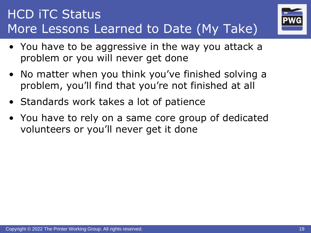## HCD iTC Status More Lessons Learned to Date (My Take)



- You have to be aggressive in the way you attack a problem or you will never get done
- No matter when you think you've finished solving a problem, you'll find that you're not finished at all
- Standards work takes a lot of patience
- You have to rely on a same core group of dedicated volunteers or you'll never get it done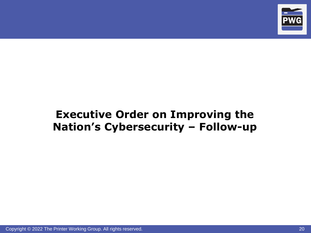

#### **Executive Order on Improving the Nation's Cybersecurity – Follow-up**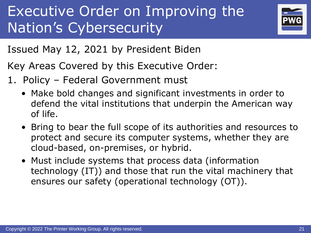# Executive Order on Improving the Nation's Cybersecurity



Issued May 12, 2021 by President Biden

Key Areas Covered by this Executive Order:

- 1. Policy Federal Government must
	- Make bold changes and significant investments in order to defend the vital institutions that underpin the American way of life.
	- Bring to bear the full scope of its authorities and resources to protect and secure its computer systems, whether they are cloud-based, on-premises, or hybrid.
	- Must include systems that process data (information technology (IT)) and those that run the vital machinery that ensures our safety (operational technology (OT)).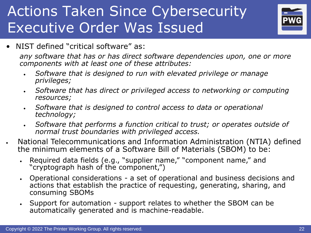

• NIST defined "critical software" as:

*any software that has or has direct software dependencies upon, one or more components with at least one of these attributes:* 

- *Software that is designed to run with elevated privilege or manage privileges;*
- *Software that has direct or privileged access to networking or computing resources;*
- *Software that is designed to control access to data or operational technology;*
- *Software that performs a function critical to trust; or operates outside of normal trust boundaries with privileged access.*
- National Telecommunications and Information Administration (NTIA) defined the minimum elements of a Software Bill of Materials (SBOM) to be:
	- Required data fields (e.g., "supplier name," "component name," and "cryptograph hash of the component,")
	- Operational considerations a set of operational and business decisions and actions that establish the practice of requesting, generating, sharing, and consuming SBOMs
	- Support for automation support relates to whether the SBOM can be automatically generated and is machine-readable.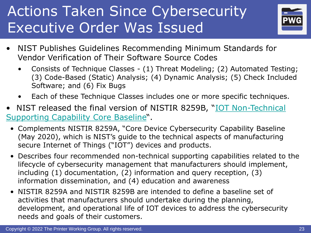

- NIST Publishes Guidelines Recommending Minimum Standards for Vendor Verification of Their Software Source Codes
	- Consists of Technique Classes (1) Threat Modeling; (2) Automated Testing; (3) Code-Based (Static) Analysis; (4) Dynamic Analysis; (5) Check Included Software; and (6) Fix Bugs
	- Each of these Technique Classes includes one or more specific techniques.
- [NIST released the final version of NISTIR 8259B, "](https://nvlpubs.nist.gov/nistpubs/ir/2021/NIST.IR.8259B.pdf)IOT Non-Technical Supporting Capability Core Baseline".
	- Complements NISTIR 8259A, "Core Device Cybersecurity Capability Baseline (May 2020), which is NIST's guide to the technical aspects of manufacturing secure Internet of Things ("IOT") devices and products.
	- Describes four recommended non-technical supporting capabilities related to the lifecycle of cybersecurity management that manufacturers should implement, including (1) documentation, (2) information and query reception, (3) information dissemination, and (4) education and awareness
	- NISTIR 8259A and NISTIR 8259B are intended to define a baseline set of activities that manufacturers should undertake during the planning, development, and operational life of IOT devices to address the cybersecurity needs and goals of their customers.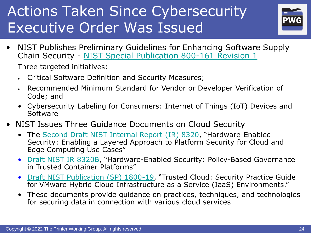

• NIST Publishes Preliminary Guidelines for Enhancing Software Supply Chain Security - [NIST Special Publication 800-161 Revision 1](https://nvlpubs.nist.gov/nistpubs/SpecialPublications/NIST.SP.800-161r1-draft2.pdf)

Three targeted initiatives:

- Critical Software Definition and Security Measures;
- Recommended Minimum Standard for Vendor or Developer Verification of Code; and
- Cybersecurity Labeling for Consumers: Internet of Things (IoT) Devices and Software
- NIST Issues Three Guidance Documents on Cloud Security
	- The [Second Draft NIST Internal Report \(IR\) 8320](https://nvlpubs.nist.gov/nistpubs/ir/2021/NIST.IR.8320-draft2.pdf), "Hardware-Enabled Security: Enabling a Layered Approach to Platform Security for Cloud and Edge Computing Use Cases"
	- [Draft NIST IR 8320B](https://nvlpubs.nist.gov/nistpubs/ir/2021/NIST.IR.8320B-draft.pdf), "Hardware-Enabled Security: Policy-Based Governance in Trusted Container Platforms"
	- [Draft NIST Publication \(SP\) 1800-19](https://www.nccoe.nist.gov/sites/default/files/library/sp1800/tc-nist-sp1800-19-draft2.pdf), "Trusted Cloud: Security Practice Guide for VMware Hybrid Cloud Infrastructure as a Service (IaaS) Environments."
	- These documents provide guidance on practices, techniques, and technologies for securing data in connection with various cloud services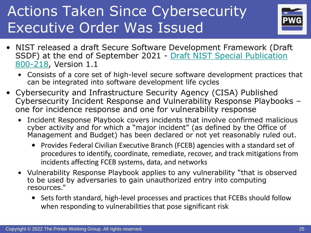

- NIST released a draft Secure Software Development Framework (Draft [SSDF\) at the end of September 2021 -](https://nvlpubs.nist.gov/nistpubs/SpecialPublications/NIST.SP.800-218-draft.pdf) Draft NIST Special Publication 800-218, Version 1.1
	- Consists of a core set of high-level secure software development practices that can be integrated into software development life cycles
- Cybersecurity and Infrastructure Security Agency (CISA) Published Cybersecurity Incident Response and Vulnerability Response Playbooks – one for incidence response and one for vulnerability response
	- Incident Response Playbook covers incidents that involve confirmed malicious cyber activity and for which a "major incident" (as defined by the Office of Management and Budget) has been declared or not yet reasonably ruled out.
		- Provides Federal Civilian Executive Branch (FCEB) agencies with a standard set of procedures to identify, coordinate, remediate, recover, and track mitigations from incidents affecting FCEB systems, data, and networks
	- Vulnerability Response Playbook applies to any vulnerability "that is observed to be used by adversaries to gain unauthorized entry into computing resources."
		- Sets forth standard, high-level processes and practices that FCEBs should follow when responding to vulnerabilities that pose significant risk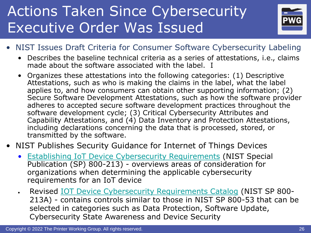

- NIST Issues Draft Criteria for Consumer Software Cybersecurity Labeling
	- Describes the baseline technical criteria as a series of attestations, i.e., claims made about the software associated with the label. I
	- Organizes these attestations into the following categories: (1) Descriptive Attestations, such as who is making the claims in the label, what the label applies to, and how consumers can obtain other supporting information; (2) Secure Software Development Attestations, such as how the software provider adheres to accepted secure software development practices throughout the software development cycle; (3) Critical Cybersecurity Attributes and Capability Attestations, and (4) Data Inventory and Protection Attestations, including declarations concerning the data that is processed, stored, or transmitted by the software.
- NIST Publishes Security Guidance for Internet of Things Devices
	- [Establishing IoT Device Cybersecurity Requirements](https://nvlpubs.nist.gov/nistpubs/SpecialPublications/NIST.SP.800-213.pdf) (NIST Special Publication (SP) 800-213) - overviews areas of consideration for organizations when determining the applicable cybersecurity requirements for an IoT device
	- Revised [IOT Device Cybersecurity Requirements Catalog](https://nvlpubs.nist.gov/nistpubs/SpecialPublications/NIST.SP.800-213A.pdf) (NIST SP 800- 213A) - contains controls similar to those in NIST SP 800-53 that can be selected in categories such as Data Protection, Software Update, Cybersecurity State Awareness and Device Security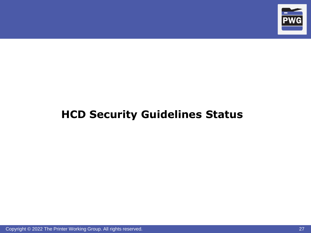

#### **HCD Security Guidelines Status**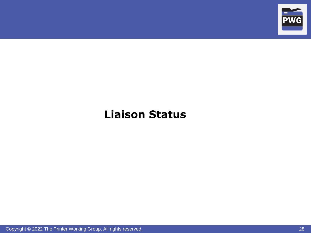

#### **Liaison Status**

Copyright © 2022 The Printer Working Group. All rights reserved. 28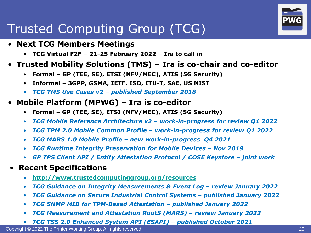## Trusted Computing Group (TCG)

- **Next TCG Members Meetings**
	- **TCG Virtual F2F – 21-25 February 2022 – Ira to call in**
- **Trusted Mobility Solutions (TMS) – Ira is co-chair and co-editor**
	- **Formal – GP (TEE, SE), ETSI (NFV/MEC), ATIS (5G Security)**
	- **Informal – 3GPP, GSMA, IETF, ISO, ITU-T, SAE, US NIST**
	- *TCG TMS Use Cases v2 – published September 2018*
- **Mobile Platform (MPWG) – Ira is co-editor**
	- **Formal – GP (TEE, SE), ETSI (NFV/MEC), ATIS (5G Security)**
	- *TCG Mobile Reference Architecture v2 – work-in-progress for review Q1 2022*
	- *TCG TPM 2.0 Mobile Common Profile – work-in-progress for review Q1 2022*
	- *TCG MARS 1.0 Mobile Profile – new work-in-progress Q4 2021*
	- *TCG Runtime Integrity Preservation for Mobile Devices Nov 2019*
	- GP TPS Client API / Entity Attestation Protocol / COSE Keystore *joint work*
- **Recent Specifications**
	- **<http://www.trustedcomputinggroup.org/resources>**
	- *TCG Guidance on Integrity Measurements & Event Log review January 2022*
	- *TCG Guidance on Secure Industrial Control Systems – published January 2022*
	- *TCG SNMP MIB for TPM-Based Attestation – published January 2022*
	- *TCG Measurement and Attestation RootS (MARS) – review January 2022*
	- *TCG TSS 2.0 Enhanced System API (ESAPI) – published October 2021*

Copyright © 2022 The Printer Working Group. All rights reserved. 29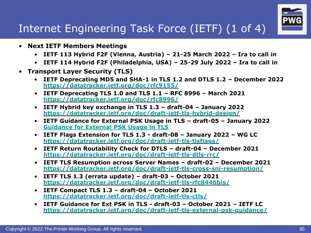

#### Internet Engineering Task Force (IETF) (1 of 4)

- **Next IETF Members Meetings**
	- **IETF 113 Hybrid F2F (Vienna, Austria) – 21-25 March 2022 – Ira to call in**
	- **IETF 114 Hybrid F2F (Philadelphia, USA) – 25-29 July 2022 – Ira to call in**
- **Transport Layer Security (TLS)**
	- **IETF Deprecating MD5 and SHA-1 in TLS 1.2 and DTLS 1.2 – December 2022 <https://datatracker.ietf.org/doc/rfc9155/>**
	- **IETF Deprecating TLS 1.0 and TLS 1.1 – RFC 8996 – March 2021 <https://datatracker.ietf.org/doc/rfc8996/>**
	- **IETF Hybrid key exchange in TLS 1.3 – draft-04 – January 2022 <https://datatracker.ietf.org/doc/draft-ietf-tls-hybrid-design/>**
	- **IETF Guidance for External PSK Usage in TLS – draft-05 – January 2022 <Guidance for External PSK Usage in TLS>**
	- **IETF Flags Extension for TLS 1.3 - draft-08 – January 2022 – WG LC <https://datatracker.ietf.org/doc/draft-ietf-tls-tlsflags/>**
	- **IETF Return Routability Check for DTLS – draft-04 – December 2021 <https://datatracker.ietf.org/doc/draft-ietf-tls-dtls-rrc/>**
	- **IETF TLS Resumption across Server Names – draft-02 – December 2021 <https://datatracker.ietf.org/doc/draft-ietf-tls-cross-sni-resumption/>**
	- **IETF TLS 1.3 (errata update) – draft-03 – October 2021 <https://datatracker.ietf.org/doc/draft-ietf-tls-rfc8446bis/>**
	- **IETF Compact TLS 1.3 – draft-04 – October 2021 <https://datatracker.ietf.org/doc/draft-ietf-tls-ctls/>**
	- **IETF Guidance for Ext PSK in TLS - draft-03 – October 2021 – IETF LC <https://datatracker.ietf.org/doc/draft-ietf-tls-external-psk-guidance/>**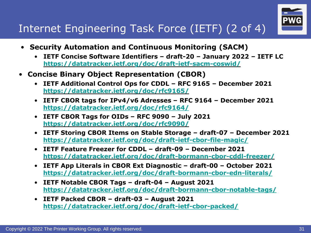

#### Internet Engineering Task Force (IETF) (2 of 4)

- **Security Automation and Continuous Monitoring (SACM)**
	- **IETF Concise Software Identifiers – draft-20 – January 2022 – IETF LC <https://datatracker.ietf.org/doc/draft-ietf-sacm-coswid/>**
- **Concise Binary Object Representation (CBOR)**
	- **IETF Additional Control Ops for CDDL – RFC 9165 – December 2021 <https://datatracker.ietf.org/doc/rfc9165/>**
	- **IETF CBOR tags for IPv4/v6 Adresses – RFC 9164 – December 2021 <https://datatracker.ietf.org/doc/rfc9164/>**
	- **IETF CBOR Tags for OIDs – RFC 9090 – July 2021 <https://datatracker.ietf.org/doc/rfc9090/>**
	- **IETF Storing CBOR Items on Stable Storage – draft-07 – December 2021 <https://datatracker.ietf.org/doc/draft-ietf-cbor-file-magic/>**
	- **IETF Feature Freezer for CDDL – draft-09 – December 2021 <https://datatracker.ietf.org/doc/draft-bormann-cbor-cddl-freezer/>**
	- **IETF App Literals in CBOR Ext Diagnostic – draft-00 – October 2021 <https://datatracker.ietf.org/doc/draft-bormann-cbor-edn-literals/>**
	- **IETF Notable CBOR Tags – draft-04 – August 2021 <https://datatracker.ietf.org/doc/draft-bormann-cbor-notable-tags/>**
	- **IETF Packed CBOR – draft-03 – August 2021 <https://datatracker.ietf.org/doc/draft-ietf-cbor-packed/>**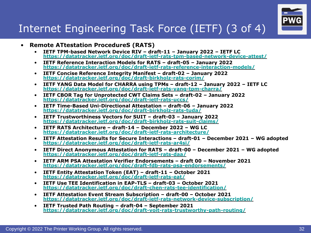

#### Internet Engineering Task Force (IETF) (3 of 4)

- **Remote ATtestation ProcedureS (RATS)**
	- **IETF TPM-based Network Device RIV – draft-11 – January 2022 – IETF LC <https://datatracker.ietf.org/doc/draft-ietf-rats-tpm-based-network-device-attest/>**
	- **IETF Reference Interaction Models for RATS – draft-05 – January 2022 <https://datatracker.ietf.org/doc/draft-ietf-rats-reference-interaction-models/>**
	- **IETF Concise Reference Integrity Manifest – draft-02 – January 2022 <https://datatracker.ietf.org/doc/draft-birkholz-rats-corim/>**
	- **IETF YANG Data Model for CHARRA using TPMs – draft-12 – January 2022 – IETF LC <https://datatracker.ietf.org/doc/draft-ietf-rats-yang-tpm-charra/>**
	- **IETF CBOR Tag for Unprotected CWT Claims Sets – draft-02 – January 2022 <https://datatracker.ietf.org/doc/draft-ietf-rats-uccs/>**
	- **IETF Time-Based Uni-Directional Attestation – draft-06 – January 2022 <https://datatracker.ietf.org/doc/draft-birkholz-rats-tuda/>**
	- **IETF Trustworthiness Vectors for SUIT – draft-03 – January 2022 <https://datatracker.ietf.org/doc/draft-birkholz-rats-suit-claims/>**
	- **IETF RATS Architecture – draft-14 – December 2022 – WG LC <https://datatracker.ietf.org/doc/draft-ietf-rats-architecture/>**
	- **IETF Attestation Results for Secure Interactions – draft-01 – December 2021 – WG adopted <https://datatracker.ietf.org/doc/draft-ietf-rats-ar4si/>**
	- **IETF Direct Anonymous Attestation for RATS – draft-00 – December 2021 – WG adopted <https://datatracker.ietf.org/doc/draft-ietf-rats-daa/>**
	- **IETF ARM PSA Attestation Verifier Endorsements – draft 00 – November 2021 <https://datatracker.ietf.org/doc/draft-fdb-rats-psa-endorsements/>**
	- **IETF Entity Attestation Token (EAT) – draft-11 – October 2021 <https://datatracker.ietf.org/doc/draft-ietf-rats-eat/>**
	- **IETF Use TEE Identification in EAP-TLS – draft-03 – October 2021 <https://datatracker.ietf.org/doc/draft-chen-rats-tee-identification/>**
	- **IETF Attestation Event Stream Subscription – draft-00 – October 2021 <https://datatracker.ietf.org/doc/draft-ietf-rats-network-device-subscription/>**
	- **IETF Trusted Path Routing – draft-04 – September 2021 <https://datatracker.ietf.org/doc/draft-voit-rats-trustworthy-path-routing/>**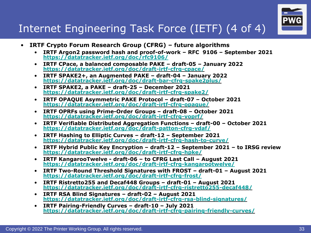

#### Internet Engineering Task Force (IETF) (4 of 4)

- **IRTF Crypto Forum Research Group (CFRG) – future algorithms**
	- **IRTF Argon2 password hash and proof-of-work – RFC 9106 – September 2021 <https://datatracker.ietf.org/doc/rfc9106/>**
	- **IRTF CPace, a balanced composable PAKE – draft-05 – January 2022 <https://datatracker.ietf.org/doc/draft-irtf-cfrg-cpace/>**
	- **IRTF SPAKE2+, an Augmented PAKE – draft-04 – January 2022 <https://datatracker.ietf.org/doc/draft-bar-cfrg-spake2plus/>**
	- **IRTF SPAKE2, a PAKE – draft-25 – December 2021 <https://datatracker.ietf.org/doc/draft-irtf-cfrg-spake2/>**
	- **IRTF OPAQUE Asymmetric PAKE Protocol – draft-07 – October 2021 <https://datatracker.ietf.org/doc/draft-irtf-cfrg-opaque/>**
	- **IRTF OPRFs using Prime-Order Groups – draft-08 – October 2021 <https://datatracker.ietf.org/doc/draft-irtf-cfrg-voprf/>**
	- **IRTF Verifiable Distributed Aggregation Functions – draft-00 – October 2021 <https://datatracker.ietf.org/doc/draft-patton-cfrg-vdaf/>**
	- **IRTF Hashing to Elliptic Curves – draft-12 – September 2021 <https://datatracker.ietf.org/doc/draft-irtf-cfrg-hash-to-curve/>**
	- **IRTF Hybrid Public Key Encryption – draft-12 – September 2021 – to IRSG review <https://datatracker.ietf.org/doc/draft-irtf-cfrg-hpke/>**
	- **IRTF KangarooTwelve - draft-06 – to CFRG Last Call – August 2021 <https://datatracker.ietf.org/doc/draft-irtf-cfrg-kangarootwelve/>**
	- **IRTF Two-Round Threshold Signatures with FROST – draft-01 – August 2021 <https://datatracker.ietf.org/doc/draft-irtf-cfrg-frost/>**
	- **IRTF Ristretto255 and Decaf448 Groups – draft-01 – August 2021 <https://datatracker.ietf.org/doc/draft-irtf-cfrg-ristretto255-decaf448/>**
	- **IRTF RSA Blind Signatures – draft-02 – August 2021 <https://datatracker.ietf.org/doc/draft-irtf-cfrg-rsa-blind-signatures/>**
	- **IRTF Pairing-Friendly Curves – draft-10 – July 2021 <https://datatracker.ietf.org/doc/draft-irtf-cfrg-pairing-friendly-curves/>**